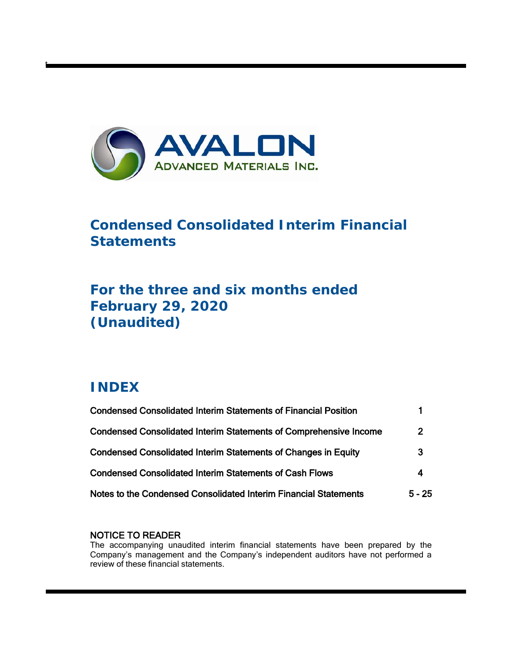

# **Condensed Consolidated Interim Financial Statements**

# **For the three and six months ended February 29, 2020 (Unaudited)**

# **INDEX**

t

| <b>Condensed Consolidated Interim Statements of Financial Position</b>   |                |
|--------------------------------------------------------------------------|----------------|
| <b>Condensed Consolidated Interim Statements of Comprehensive Income</b> | $\overline{2}$ |
| <b>Condensed Consolidated Interim Statements of Changes in Equity</b>    | 3              |
| <b>Condensed Consolidated Interim Statements of Cash Flows</b>           | 4              |
| Notes to the Condensed Consolidated Interim Financial Statements         | $5 - 25$       |

# NOTICE TO READER

The accompanying unaudited interim financial statements have been prepared by the Company's management and the Company's independent auditors have not performed a review of these financial statements.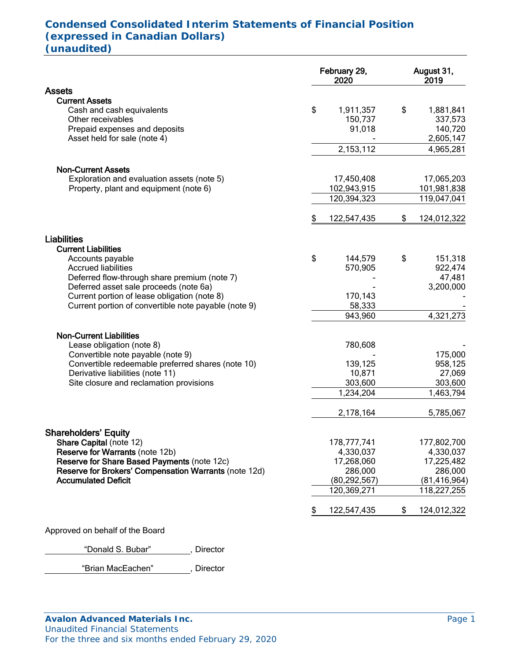# **Condensed Consolidated Interim Statements of Financial Position (expressed in Canadian Dollars) (unaudited)**

|                                                                                                                                          | February 29,<br>2020                 | August 31,<br>2019                                 |
|------------------------------------------------------------------------------------------------------------------------------------------|--------------------------------------|----------------------------------------------------|
| <b>Assets</b>                                                                                                                            |                                      |                                                    |
| <b>Current Assets</b><br>Cash and cash equivalents<br>Other receivables<br>Prepaid expenses and deposits<br>Asset held for sale (note 4) | \$<br>1,911,357<br>150,737<br>91,018 | \$<br>1,881,841<br>337,573<br>140,720<br>2,605,147 |
|                                                                                                                                          | 2, 153, 112                          | 4,965,281                                          |
|                                                                                                                                          |                                      |                                                    |
| <b>Non-Current Assets</b><br>Exploration and evaluation assets (note 5)<br>Property, plant and equipment (note 6)                        | 17,450,408<br>102,943,915            | 17,065,203<br>101,981,838                          |
|                                                                                                                                          | 120,394,323                          | 119,047,041                                        |
|                                                                                                                                          | \$<br>122,547,435                    | \$<br>124,012,322                                  |
| <b>Liabilities</b>                                                                                                                       |                                      |                                                    |
| <b>Current Liabilities</b><br>Accounts payable<br><b>Accrued liabilities</b>                                                             | \$<br>144,579<br>570,905             | \$<br>151,318<br>922,474<br>47,481                 |
| Deferred flow-through share premium (note 7)<br>Deferred asset sale proceeds (note 6a)<br>Current portion of lease obligation (note 8)   | 170,143                              | 3,200,000                                          |
| Current portion of convertible note payable (note 9)                                                                                     | 58,333<br>943,960                    | 4,321,273                                          |
|                                                                                                                                          |                                      |                                                    |
| <b>Non-Current Liabilities</b><br>Lease obligation (note 8)<br>Convertible note payable (note 9)                                         | 780,608                              | 175,000                                            |
| Convertible redeemable preferred shares (note 10)                                                                                        | 139,125                              | 958,125                                            |
| Derivative liabilities (note 11)                                                                                                         | 10,871                               | 27,069                                             |
| Site closure and reclamation provisions                                                                                                  | 303,600                              | 303,600                                            |
|                                                                                                                                          | 1,234,204                            | 1,463,794                                          |
|                                                                                                                                          | 2,178,164                            | 5,785,067                                          |
| <b>Shareholders' Equity</b>                                                                                                              |                                      |                                                    |
| Share Capital (note 12)                                                                                                                  | 178,777,741                          | 177,802,700                                        |
| <b>Reserve for Warrants (note 12b)</b>                                                                                                   | 4,330,037                            | 4,330,037                                          |
| Reserve for Share Based Payments (note 12c)                                                                                              | 17,268,060                           | 17,225,482                                         |
| Reserve for Brokers' Compensation Warrants (note 12d)                                                                                    | 286,000                              | 286,000                                            |
| <b>Accumulated Deficit</b>                                                                                                               | (80, 292, 567)                       | (81, 416, 964)                                     |
|                                                                                                                                          | 120,369,271                          | 118,227,255                                        |
|                                                                                                                                          | \$<br>122,547,435                    | \$<br>124,012,322                                  |
| Approved on behalf of the Board                                                                                                          |                                      |                                                    |

"Donald S. Bubar" , Director

"Brian MacEachen" , Director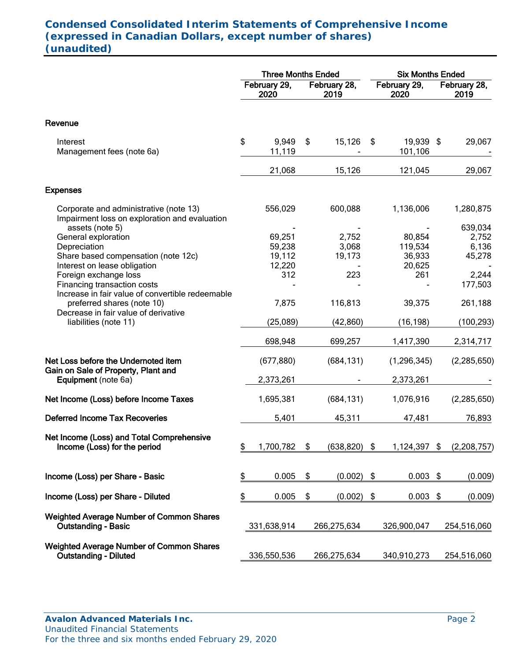# **Condensed Consolidated Interim Statements of Comprehensive Income (expressed in Canadian Dollars, except number of shares) (unaudited)**

|                                                                                                                               | <b>Three Months Ended</b> |                                      |                      |                          |                      | <b>Six Months Ended</b>               |    |                                     |  |  |  |
|-------------------------------------------------------------------------------------------------------------------------------|---------------------------|--------------------------------------|----------------------|--------------------------|----------------------|---------------------------------------|----|-------------------------------------|--|--|--|
|                                                                                                                               | February 29,<br>2020      |                                      | February 28,<br>2019 |                          | February 29,<br>2020 |                                       |    | February 28,<br>2019                |  |  |  |
| Revenue                                                                                                                       |                           |                                      |                      |                          |                      |                                       |    |                                     |  |  |  |
| Interest<br>Management fees (note 6a)                                                                                         | \$                        | 9,949<br>11,119                      | \$                   | 15,126                   | \$                   | 19,939 \$<br>101,106                  |    | 29,067                              |  |  |  |
|                                                                                                                               |                           | 21,068                               |                      | 15,126                   |                      | 121,045                               |    | 29,067                              |  |  |  |
| <b>Expenses</b>                                                                                                               |                           |                                      |                      |                          |                      |                                       |    |                                     |  |  |  |
| Corporate and administrative (note 13)<br>Impairment loss on exploration and evaluation                                       |                           | 556,029                              |                      | 600,088                  |                      | 1,136,006                             |    | 1,280,875                           |  |  |  |
| assets (note 5)<br>General exploration<br>Depreciation<br>Share based compensation (note 12c)<br>Interest on lease obligation |                           | 69,251<br>59,238<br>19,112<br>12,220 |                      | 2,752<br>3,068<br>19,173 |                      | 80,854<br>119,534<br>36,933<br>20,625 |    | 639,034<br>2,752<br>6,136<br>45,278 |  |  |  |
| Foreign exchange loss<br>Financing transaction costs<br>Increase in fair value of convertible redeemable                      |                           | 312                                  |                      | 223                      |                      | 261                                   |    | 2,244<br>177,503                    |  |  |  |
| preferred shares (note 10)<br>Decrease in fair value of derivative                                                            |                           | 7,875                                |                      | 116,813                  |                      | 39,375                                |    | 261,188                             |  |  |  |
| liabilities (note 11)                                                                                                         |                           | (25,089)                             |                      | (42, 860)                |                      | (16, 198)                             |    | (100, 293)                          |  |  |  |
|                                                                                                                               |                           | 698,948                              |                      | 699,257                  |                      | 1,417,390                             |    | 2,314,717                           |  |  |  |
| Net Loss before the Undernoted item<br>Gain on Sale of Property, Plant and                                                    |                           | (677, 880)                           |                      | (684, 131)               |                      | (1, 296, 345)                         |    | (2, 285, 650)                       |  |  |  |
| Equipment (note 6a)                                                                                                           |                           | 2,373,261                            |                      |                          |                      | 2,373,261                             |    |                                     |  |  |  |
| Net Income (Loss) before Income Taxes                                                                                         |                           | 1,695,381                            |                      | (684, 131)               |                      | 1,076,916                             |    | (2, 285, 650)                       |  |  |  |
| <b>Deferred Income Tax Recoveries</b>                                                                                         |                           | 5,401                                |                      | 45,311                   |                      | 47,481                                |    | 76,893                              |  |  |  |
| Net Income (Loss) and Total Comprehensive<br>Income (Loss) for the period                                                     | \$                        | 1,700,782                            | \$                   | $(638, 820)$ \$          |                      | 1,124,397                             | \$ | (2,208,757)                         |  |  |  |
| Income (Loss) per Share - Basic                                                                                               | \$                        | 0.005                                | \$                   | (0.002)                  | \$                   | $0.003$ \$                            |    | (0.009)                             |  |  |  |
| Income (Loss) per Share - Diluted                                                                                             | \$                        | 0.005                                | \$                   | (0.002)                  | \$                   | 0.003                                 | \$ | (0.009)                             |  |  |  |
| <b>Weighted Average Number of Common Shares</b><br><b>Outstanding - Basic</b>                                                 |                           | 331,638,914                          |                      | 266,275,634              |                      | 326,900,047                           |    | 254,516,060                         |  |  |  |
| <b>Weighted Average Number of Common Shares</b><br><b>Outstanding - Diluted</b>                                               |                           | 336,550,536                          |                      | 266,275,634              |                      | 340,910,273                           |    | 254,516,060                         |  |  |  |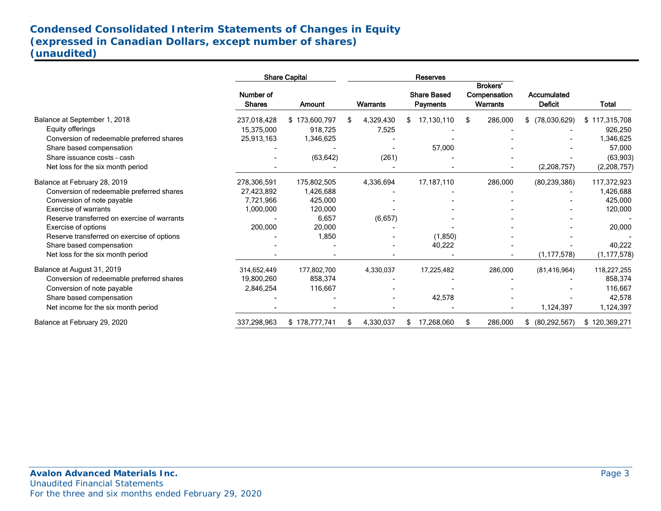# **Condensed Consolidated Interim Statements of Changes in Equity (expressed in Canadian Dollars, except number of shares) (unaudited)**

.

|                                             |                            | <b>Share Capital</b> |                 | <b>Reserves</b>                       |                                             |                               |               |  |
|---------------------------------------------|----------------------------|----------------------|-----------------|---------------------------------------|---------------------------------------------|-------------------------------|---------------|--|
|                                             | Number of<br><b>Shares</b> | Amount               | <b>Warrants</b> | <b>Share Based</b><br><b>Payments</b> | Brokers'<br>Compensation<br><b>Warrants</b> | Accumulated<br><b>Deficit</b> | <b>Total</b>  |  |
| Balance at September 1, 2018                | 237,018,428                | \$173,600,797        | 4,329,430       | 17,130,110<br>\$                      | 286,000<br>\$                               | \$ (78,030,629)               | \$117,315,708 |  |
| Equity offerings                            | 15,375,000                 | 918.725              | 7,525           |                                       |                                             |                               | 926,250       |  |
| Conversion of redeemable preferred shares   | 25,913,163                 | 1,346,625            |                 |                                       |                                             |                               | 1,346,625     |  |
| Share based compensation                    |                            |                      |                 | 57,000                                |                                             |                               | 57,000        |  |
| Share issuance costs - cash                 |                            | (63, 642)            | (261)           |                                       |                                             |                               | (63,903)      |  |
| Net loss for the six month period           |                            |                      |                 |                                       |                                             | (2,208,757)                   | (2,208,757)   |  |
| Balance at February 28, 2019                | 278,306,591                | 175,802,505          | 4,336,694       | 17,187,110                            | 286,000                                     | (80, 239, 386)                | 117,372,923   |  |
| Conversion of redeemable preferred shares   | 27,423,892                 | 1,426,688            |                 |                                       |                                             |                               | 1,426,688     |  |
| Conversion of note payable                  | 7,721,966                  | 425,000              |                 |                                       |                                             |                               | 425,000       |  |
| <b>Exercise of warrants</b>                 | 1,000,000                  | 120,000              |                 |                                       |                                             |                               | 120,000       |  |
| Reserve transferred on exercise of warrants |                            | 6,657                | (6,657)         |                                       |                                             |                               |               |  |
| Exercise of options                         | 200,000                    | 20,000               |                 |                                       |                                             |                               | 20,000        |  |
| Reserve transferred on exercise of options  |                            | 1,850                |                 | (1,850)                               |                                             |                               |               |  |
| Share based compensation                    |                            |                      |                 | 40,222                                |                                             |                               | 40,222        |  |
| Net loss for the six month period           |                            |                      |                 |                                       |                                             | (1, 177, 578)                 | (1, 177, 578) |  |
| Balance at August 31, 2019                  | 314,652,449                | 177,802,700          | 4,330,037       | 17,225,482                            | 286,000                                     | (81, 416, 964)                | 118,227,255   |  |
| Conversion of redeemable preferred shares   | 19,800,260                 | 858,374              |                 |                                       |                                             |                               | 858,374       |  |
| Conversion of note payable                  | 2,846,254                  | 116,667              |                 |                                       |                                             |                               | 116,667       |  |
| Share based compensation                    |                            |                      |                 | 42,578                                |                                             |                               | 42,578        |  |
| Net income for the six month period         |                            |                      |                 |                                       |                                             | 1,124,397                     | 1,124,397     |  |
| Balance at February 29, 2020                | 337,298,963                | \$178,777,741        | 4,330,037       | 17,268,060                            | 286,000<br>\$                               | (80, 292, 567)<br>S.          | \$120,369,271 |  |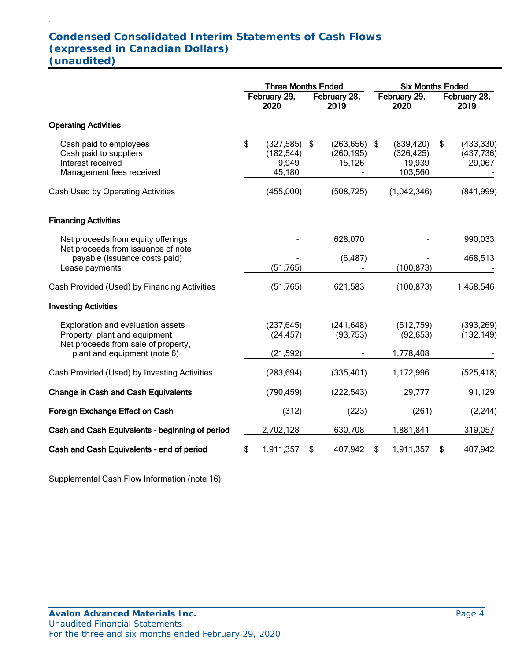# **Condensed Consolidated Interim Statements of Cash Flows (expressed in Canadian Dollars) (unaudited)**

.

|                                                                                                           | <b>Three Months Ended</b> |                                             |    |                                    |    | <b>Six Months Ended</b>                       |    |                                    |  |  |
|-----------------------------------------------------------------------------------------------------------|---------------------------|---------------------------------------------|----|------------------------------------|----|-----------------------------------------------|----|------------------------------------|--|--|
|                                                                                                           |                           | February 29,<br>2020                        |    | February 28,<br>2019               |    | February 29,<br>2020                          |    | February 28,<br>2019               |  |  |
| <b>Operating Activities</b>                                                                               |                           |                                             |    |                                    |    |                                               |    |                                    |  |  |
| Cash paid to employees<br>Cash paid to suppliers<br>Interest received<br>Management fees received         | \$                        | (327, 585)<br>(182, 544)<br>9,949<br>45,180 | \$ | (263, 656)<br>(260, 195)<br>15,126 | \$ | (839, 420)<br>(326, 425)<br>19,939<br>103,560 | \$ | (433, 330)<br>(437, 736)<br>29,067 |  |  |
| Cash Used by Operating Activities                                                                         |                           | (455,000)                                   |    | (508, 725)                         |    | (1,042,346)                                   |    | (841, 999)                         |  |  |
| <b>Financing Activities</b>                                                                               |                           |                                             |    |                                    |    |                                               |    |                                    |  |  |
| Net proceeds from equity offerings<br>Net proceeds from issuance of note                                  |                           |                                             |    | 628,070                            |    |                                               |    | 990,033                            |  |  |
| payable (issuance costs paid)<br>Lease payments                                                           |                           | (51,765)                                    |    | (6, 487)                           |    | (100, 873)                                    |    | 468,513                            |  |  |
| Cash Provided (Used) by Financing Activities                                                              |                           | (51, 765)                                   |    | 621,583                            |    | (100, 873)                                    |    | 1,458,546                          |  |  |
| <b>Investing Activities</b>                                                                               |                           |                                             |    |                                    |    |                                               |    |                                    |  |  |
| Exploration and evaluation assets<br>Property, plant and equipment<br>Net proceeds from sale of property, |                           | (237, 645)<br>(24, 457)                     |    | (241, 648)<br>(93, 753)            |    | (512,759)<br>(92, 653)                        |    | (393, 269)<br>(132, 149)           |  |  |
| plant and equipment (note 6)                                                                              |                           | (21, 592)                                   |    |                                    |    | 1,778,408                                     |    |                                    |  |  |
| Cash Provided (Used) by Investing Activities                                                              |                           | (283, 694)                                  |    | (335, 401)                         |    | 1,172,996                                     |    | (525, 418)                         |  |  |
| <b>Change in Cash and Cash Equivalents</b>                                                                |                           | (790, 459)                                  |    | (222, 543)                         |    | 29,777                                        |    | 91,129                             |  |  |
| Foreign Exchange Effect on Cash                                                                           |                           | (312)                                       |    | (223)                              |    | (261)                                         |    | (2, 244)                           |  |  |
| Cash and Cash Equivalents - beginning of period                                                           |                           | 2,702,128                                   |    | 630,708                            |    | 1,881,841                                     |    | 319,057                            |  |  |
| Cash and Cash Equivalents - end of period                                                                 | \$                        | 1,911,357                                   | \$ | 407,942                            | \$ | 1,911,357                                     | \$ | 407,942                            |  |  |

Supplemental Cash Flow Information (note 16)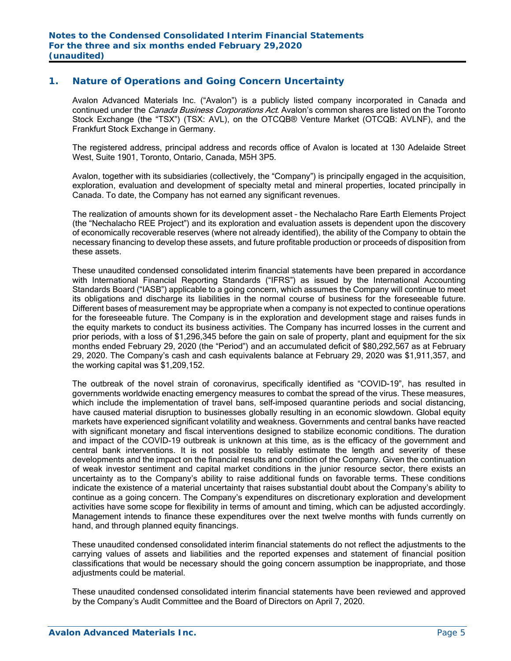## **1. Nature of Operations and Going Concern Uncertainty**

Avalon Advanced Materials Inc. ("Avalon") is a publicly listed company incorporated in Canada and continued under the *Canada Business Corporations Act*. Avalon's common shares are listed on the Toronto Stock Exchange (the "TSX") (TSX: AVL), on the OTCQB® Venture Market (OTCQB: AVLNF), and the Frankfurt Stock Exchange in Germany.

The registered address, principal address and records office of Avalon is located at 130 Adelaide Street West, Suite 1901, Toronto, Ontario, Canada, M5H 3P5.

Avalon, together with its subsidiaries (collectively, the "Company") is principally engaged in the acquisition, exploration, evaluation and development of specialty metal and mineral properties, located principally in Canada. To date, the Company has not earned any significant revenues.

The realization of amounts shown for its development asset – the Nechalacho Rare Earth Elements Project (the "Nechalacho REE Project") and its exploration and evaluation assets is dependent upon the discovery of economically recoverable reserves (where not already identified), the ability of the Company to obtain the necessary financing to develop these assets, and future profitable production or proceeds of disposition from these assets.

These unaudited condensed consolidated interim financial statements have been prepared in accordance with International Financial Reporting Standards ("IFRS") as issued by the International Accounting Standards Board ("IASB") applicable to a going concern, which assumes the Company will continue to meet its obligations and discharge its liabilities in the normal course of business for the foreseeable future. Different bases of measurement may be appropriate when a company is not expected to continue operations for the foreseeable future. The Company is in the exploration and development stage and raises funds in the equity markets to conduct its business activities. The Company has incurred losses in the current and prior periods, with a loss of \$1,296,345 before the gain on sale of property, plant and equipment for the six months ended February 29, 2020 (the "Period") and an accumulated deficit of \$80,292,567 as at February 29, 2020. The Company's cash and cash equivalents balance at February 29, 2020 was \$1,911,357, and the working capital was \$1,209,152.

The outbreak of the novel strain of coronavirus, specifically identified as "COVID-19", has resulted in governments worldwide enacting emergency measures to combat the spread of the virus. These measures, which include the implementation of travel bans, self-imposed quarantine periods and social distancing, have caused material disruption to businesses globally resulting in an economic slowdown. Global equity markets have experienced significant volatility and weakness. Governments and central banks have reacted with significant monetary and fiscal interventions designed to stabilize economic conditions. The duration and impact of the COVID-19 outbreak is unknown at this time, as is the efficacy of the government and central bank interventions. It is not possible to reliably estimate the length and severity of these developments and the impact on the financial results and condition of the Company. Given the continuation of weak investor sentiment and capital market conditions in the junior resource sector, there exists an uncertainty as to the Company's ability to raise additional funds on favorable terms. These conditions indicate the existence of a material uncertainty that raises substantial doubt about the Company's ability to continue as a going concern. The Company's expenditures on discretionary exploration and development activities have some scope for flexibility in terms of amount and timing, which can be adjusted accordingly. Management intends to finance these expenditures over the next twelve months with funds currently on hand, and through planned equity financings.

These unaudited condensed consolidated interim financial statements do not reflect the adjustments to the carrying values of assets and liabilities and the reported expenses and statement of financial position classifications that would be necessary should the going concern assumption be inappropriate, and those adiustments could be material.

These unaudited condensed consolidated interim financial statements have been reviewed and approved by the Company's Audit Committee and the Board of Directors on April 7, 2020.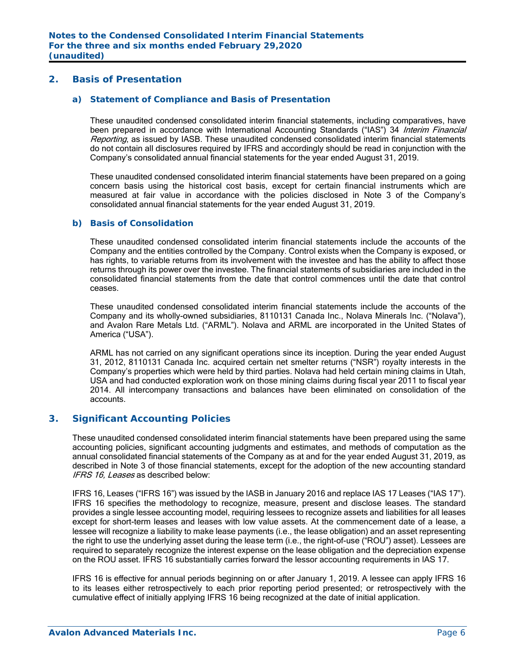#### **2. Basis of Presentation**

#### *a) Statement of Compliance and Basis of Presentation*

These unaudited condensed consolidated interim financial statements, including comparatives, have been prepared in accordance with International Accounting Standards ("IAS") 34 Interim Financial Reporting, as issued by IASB. These unaudited condensed consolidated interim financial statements do not contain all disclosures required by IFRS and accordingly should be read in conjunction with the Company's consolidated annual financial statements for the year ended August 31, 2019.

These unaudited condensed consolidated interim financial statements have been prepared on a going concern basis using the historical cost basis, except for certain financial instruments which are measured at fair value in accordance with the policies disclosed in Note 3 of the Company's consolidated annual financial statements for the year ended August 31, 2019.

#### *b) Basis of Consolidation*

These unaudited condensed consolidated interim financial statements include the accounts of the Company and the entities controlled by the Company. Control exists when the Company is exposed, or has rights, to variable returns from its involvement with the investee and has the ability to affect those returns through its power over the investee. The financial statements of subsidiaries are included in the consolidated financial statements from the date that control commences until the date that control ceases.

These unaudited condensed consolidated interim financial statements include the accounts of the Company and its wholly-owned subsidiaries, 8110131 Canada Inc., Nolava Minerals Inc. ("Nolava"), and Avalon Rare Metals Ltd. ("ARML"). Nolava and ARML are incorporated in the United States of America ("USA").

ARML has not carried on any significant operations since its inception. During the year ended August 31, 2012, 8110131 Canada Inc. acquired certain net smelter returns ("NSR") royalty interests in the Company's properties which were held by third parties. Nolava had held certain mining claims in Utah, USA and had conducted exploration work on those mining claims during fiscal year 2011 to fiscal year 2014. All intercompany transactions and balances have been eliminated on consolidation of the accounts.

### **3. Significant Accounting Policies**

These unaudited condensed consolidated interim financial statements have been prepared using the same accounting policies, significant accounting judgments and estimates, and methods of computation as the annual consolidated financial statements of the Company as at and for the year ended August 31, 2019, as described in Note 3 of those financial statements, except for the adoption of the new accounting standard IFRS 16, Leases as described below:

IFRS 16, Leases ("IFRS 16") was issued by the IASB in January 2016 and replace IAS 17 Leases ("IAS 17"). IFRS 16 specifies the methodology to recognize, measure, present and disclose leases. The standard provides a single lessee accounting model, requiring lessees to recognize assets and liabilities for all leases except for short-term leases and leases with low value assets. At the commencement date of a lease, a lessee will recognize a liability to make lease payments (i.e., the lease obligation) and an asset representing the right to use the underlying asset during the lease term (i.e., the right-of-use ("ROU") asset). Lessees are required to separately recognize the interest expense on the lease obligation and the depreciation expense on the ROU asset. IFRS 16 substantially carries forward the lessor accounting requirements in IAS 17.

IFRS 16 is effective for annual periods beginning on or after January 1, 2019. A lessee can apply IFRS 16 to its leases either retrospectively to each prior reporting period presented; or retrospectively with the cumulative effect of initially applying IFRS 16 being recognized at the date of initial application.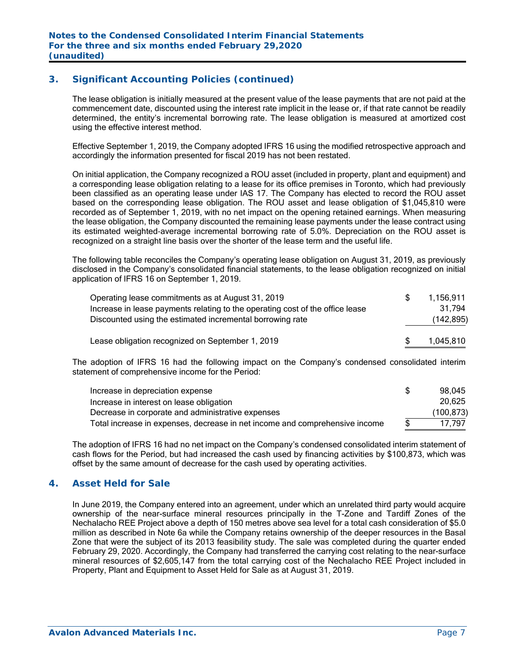# **3. Significant Accounting Policies (continued)**

The lease obligation is initially measured at the present value of the lease payments that are not paid at the commencement date, discounted using the interest rate implicit in the lease or, if that rate cannot be readily determined, the entity's incremental borrowing rate. The lease obligation is measured at amortized cost using the effective interest method.

Effective September 1, 2019, the Company adopted IFRS 16 using the modified retrospective approach and accordingly the information presented for fiscal 2019 has not been restated.

On initial application, the Company recognized a ROU asset (included in property, plant and equipment) and a corresponding lease obligation relating to a lease for its office premises in Toronto, which had previously been classified as an operating lease under IAS 17. The Company has elected to record the ROU asset based on the corresponding lease obligation. The ROU asset and lease obligation of \$1,045,810 were recorded as of September 1, 2019, with no net impact on the opening retained earnings. When measuring the lease obligation, the Company discounted the remaining lease payments under the lease contract using its estimated weighted‐average incremental borrowing rate of 5.0%. Depreciation on the ROU asset is recognized on a straight line basis over the shorter of the lease term and the useful life.

The following table reconciles the Company's operating lease obligation on August 31, 2019, as previously disclosed in the Company's consolidated financial statements, to the lease obligation recognized on initial application of IFRS 16 on September 1, 2019.

| Operating lease commitments as at August 31, 2019                             | 1.156.911  |
|-------------------------------------------------------------------------------|------------|
| Increase in lease payments relating to the operating cost of the office lease | 31.794     |
| Discounted using the estimated incremental borrowing rate                     | (142, 895) |
| Lease obligation recognized on September 1, 2019                              | 1,045,810  |

The adoption of IFRS 16 had the following impact on the Company's condensed consolidated interim statement of comprehensive income for the Period:

| Increase in depreciation expense                                            | 98.045     |
|-----------------------------------------------------------------------------|------------|
| Increase in interest on lease obligation                                    | 20,625     |
| Decrease in corporate and administrative expenses                           | (100, 873) |
| Total increase in expenses, decrease in net income and comprehensive income | 17.797     |

The adoption of IFRS 16 had no net impact on the Company's condensed consolidated interim statement of cash flows for the Period, but had increased the cash used by financing activities by \$100,873, which was offset by the same amount of decrease for the cash used by operating activities.

### **4. Asset Held for Sale**

In June 2019, the Company entered into an agreement, under which an unrelated third party would acquire ownership of the near-surface mineral resources principally in the T-Zone and Tardiff Zones of the Nechalacho REE Project above a depth of 150 metres above sea level for a total cash consideration of \$5.0 million as described in Note 6a while the Company retains ownership of the deeper resources in the Basal Zone that were the subject of its 2013 feasibility study. The sale was completed during the quarter ended February 29, 2020. Accordingly, the Company had transferred the carrying cost relating to the near-surface mineral resources of \$2,605,147 from the total carrying cost of the Nechalacho REE Project included in Property, Plant and Equipment to Asset Held for Sale as at August 31, 2019.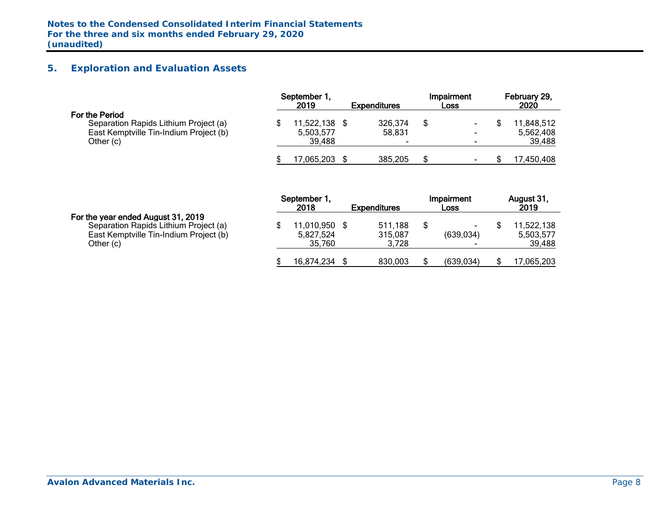# **5. Exploration and Evaluation Assets**

|                                                                                                                | September 1.<br>2019              | <b>Expenditures</b>    | Impairment<br>Loss                                                     | February 29,<br>2020             |
|----------------------------------------------------------------------------------------------------------------|-----------------------------------|------------------------|------------------------------------------------------------------------|----------------------------------|
| For the Period<br>Separation Rapids Lithium Project (a)<br>East Kemptville Tin-Indium Project (b)<br>Other (c) | 11,522,138<br>5,503,577<br>39.488 | 326,374<br>58,831<br>- | $\blacksquare$<br>$\overline{\phantom{0}}$<br>$\overline{\phantom{a}}$ | 1,848,512<br>5,562,408<br>39,488 |
|                                                                                                                | 7.065.203                         | 385,205                | ۰                                                                      | 17,450,408                       |

|                                                                                                                                    | September 1<br>2018               | <b>Expenditures</b>         | Impairment<br>Loss   | August 31,<br>2019                |
|------------------------------------------------------------------------------------------------------------------------------------|-----------------------------------|-----------------------------|----------------------|-----------------------------------|
| For the year ended August 31, 2019<br>Separation Rapids Lithium Project (a)<br>East Kemptville Tin-Indium Project (b)<br>Other (c) | 11,010,950<br>5,827,524<br>35,760 | 511,188<br>315,087<br>3.728 | $\sim$<br>(639, 034) | 11,522,138<br>5,503,577<br>39,488 |
|                                                                                                                                    | 16,874,234                        | 830,003                     | (639, 034)           | 17,065,203                        |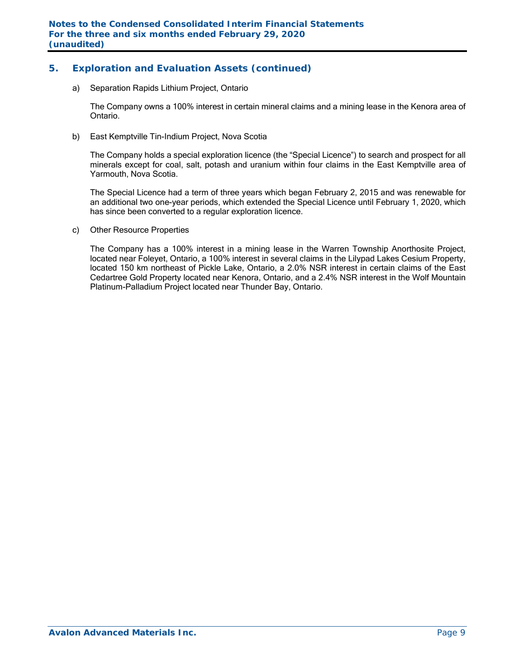# **5. Exploration and Evaluation Assets (continued)**

a) Separation Rapids Lithium Project, Ontario

The Company owns a 100% interest in certain mineral claims and a mining lease in the Kenora area of Ontario.

b) East Kemptville Tin-Indium Project, Nova Scotia

The Company holds a special exploration licence (the "Special Licence") to search and prospect for all minerals except for coal, salt, potash and uranium within four claims in the East Kemptville area of Yarmouth, Nova Scotia.

The Special Licence had a term of three years which began February 2, 2015 and was renewable for an additional two one-year periods, which extended the Special Licence until February 1, 2020, which has since been converted to a regular exploration licence.

c) Other Resource Properties

The Company has a 100% interest in a mining lease in the Warren Township Anorthosite Project, located near Foleyet, Ontario, a 100% interest in several claims in the Lilypad Lakes Cesium Property, located 150 km northeast of Pickle Lake, Ontario, a 2.0% NSR interest in certain claims of the East Cedartree Gold Property located near Kenora, Ontario, and a 2.4% NSR interest in the Wolf Mountain Platinum-Palladium Project located near Thunder Bay, Ontario.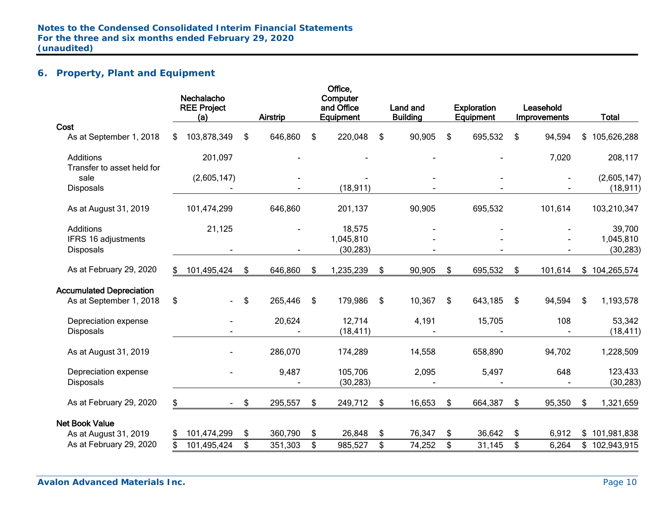# **6. Property, Plant and Equipment**

|                                                            | Nechalacho<br><b>REE Project</b><br>(a) | <b>Airstrip</b> |     | Office,<br>Computer<br>and Office<br>Equipment | Land and<br><b>Building</b> | <b>Exploration</b><br>Equipment | Leasehold<br><b>Improvements</b> | <b>Total</b>         |
|------------------------------------------------------------|-----------------------------------------|-----------------|-----|------------------------------------------------|-----------------------------|---------------------------------|----------------------------------|----------------------|
| Cost                                                       |                                         |                 |     |                                                |                             |                                 |                                  |                      |
| As at September 1, 2018                                    | \$<br>103,878,349                       | \$<br>646,860   | \$  | 220,048                                        | \$<br>90,905                | \$<br>695,532                   | \$<br>94,594                     | \$<br>105,626,288    |
| Additions                                                  | 201,097                                 |                 |     |                                                |                             |                                 | 7,020                            | 208,117              |
| Transfer to asset held for<br>sale                         | (2,605,147)                             |                 |     |                                                |                             |                                 |                                  | (2,605,147)          |
| <b>Disposals</b>                                           |                                         |                 |     | (18, 911)                                      |                             |                                 |                                  | (18, 911)            |
| As at August 31, 2019                                      | 101,474,299                             | 646,860         |     | 201,137                                        | 90,905                      | 695,532                         | 101,614                          | 103,210,347          |
| <b>Additions</b>                                           | 21,125                                  |                 |     | 18,575                                         |                             |                                 |                                  | 39,700               |
| IFRS 16 adjustments                                        |                                         |                 |     | 1,045,810                                      |                             |                                 |                                  | 1,045,810            |
| <b>Disposals</b>                                           |                                         |                 |     | (30, 283)                                      |                             |                                 |                                  | (30, 283)            |
| As at February 29, 2020                                    | \$<br>101,495,424                       | \$<br>646,860   | \$  | 1,235,239                                      | \$<br>90,905                | \$<br>695,532                   | \$<br>101,614                    | \$104,265,574        |
| <b>Accumulated Depreciation</b><br>As at September 1, 2018 | \$                                      | \$<br>265,446   | -\$ | 179,986                                        | \$<br>10,367                | \$<br>643,185                   | \$<br>94,594                     | \$<br>1,193,578      |
| Depreciation expense<br>Disposals                          |                                         | 20,624          |     | 12,714<br>(18, 411)                            | 4,191                       | 15,705                          | 108                              | 53,342<br>(18, 411)  |
| As at August 31, 2019                                      |                                         | 286,070         |     | 174,289                                        | 14,558                      | 658,890                         | 94,702                           | 1,228,509            |
| Depreciation expense<br><b>Disposals</b>                   |                                         | 9,487           |     | 105,706<br>(30, 283)                           | 2,095                       | 5,497                           | 648                              | 123,433<br>(30, 283) |
| As at February 29, 2020                                    | \$                                      | \$<br>295,557   | \$  | 249,712                                        | \$<br>16,653                | \$<br>664,387                   | \$<br>95,350                     | \$<br>1,321,659      |
| <b>Net Book Value</b>                                      |                                         |                 |     |                                                |                             |                                 |                                  |                      |
| As at August 31, 2019                                      | \$<br>101,474,299                       | \$<br>360,790   | \$  | 26,848                                         | \$<br>76,347                | \$<br>36,642                    | \$<br>6,912                      | \$101,981,838        |
| As at February 29, 2020                                    | 101,495,424                             | \$<br>351,303   | \$  | 985,527                                        | \$<br>74,252                | \$<br>31,145                    | \$<br>6,264                      | \$102,943,915        |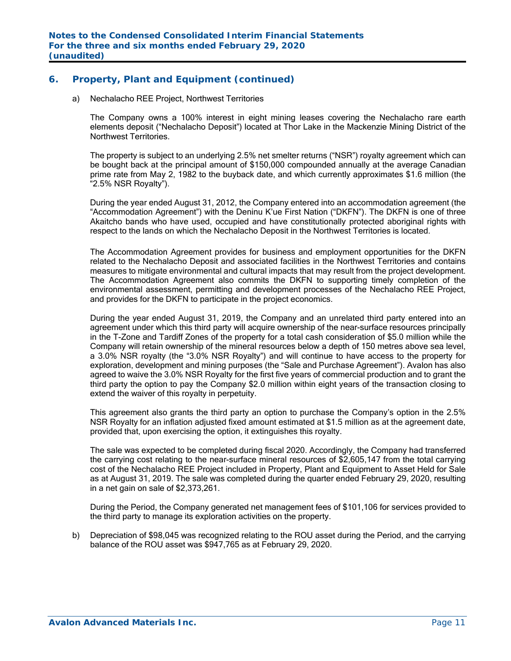# **6. Property, Plant and Equipment (continued)**

a) Nechalacho REE Project, Northwest Territories

The Company owns a 100% interest in eight mining leases covering the Nechalacho rare earth elements deposit ("Nechalacho Deposit") located at Thor Lake in the Mackenzie Mining District of the Northwest Territories.

The property is subject to an underlying 2.5% net smelter returns ("NSR") royalty agreement which can be bought back at the principal amount of \$150,000 compounded annually at the average Canadian prime rate from May 2, 1982 to the buyback date, and which currently approximates \$1.6 million (the "2.5% NSR Royalty").

During the year ended August 31, 2012, the Company entered into an accommodation agreement (the "Accommodation Agreement") with the Deninu K'ue First Nation ("DKFN"). The DKFN is one of three Akaitcho bands who have used, occupied and have constitutionally protected aboriginal rights with respect to the lands on which the Nechalacho Deposit in the Northwest Territories is located.

The Accommodation Agreement provides for business and employment opportunities for the DKFN related to the Nechalacho Deposit and associated facilities in the Northwest Territories and contains measures to mitigate environmental and cultural impacts that may result from the project development. The Accommodation Agreement also commits the DKFN to supporting timely completion of the environmental assessment, permitting and development processes of the Nechalacho REE Project, and provides for the DKFN to participate in the project economics.

During the year ended August 31, 2019, the Company and an unrelated third party entered into an agreement under which this third party will acquire ownership of the near-surface resources principally in the T-Zone and Tardiff Zones of the property for a total cash consideration of \$5.0 million while the Company will retain ownership of the mineral resources below a depth of 150 metres above sea level, a 3.0% NSR royalty (the "3.0% NSR Royalty") and will continue to have access to the property for exploration, development and mining purposes (the "Sale and Purchase Agreement"). Avalon has also agreed to waive the 3.0% NSR Royalty for the first five years of commercial production and to grant the third party the option to pay the Company \$2.0 million within eight years of the transaction closing to extend the waiver of this royalty in perpetuity.

This agreement also grants the third party an option to purchase the Company's option in the 2.5% NSR Royalty for an inflation adjusted fixed amount estimated at \$1.5 million as at the agreement date, provided that, upon exercising the option, it extinguishes this royalty.

The sale was expected to be completed during fiscal 2020. Accordingly, the Company had transferred the carrying cost relating to the near-surface mineral resources of \$2,605,147 from the total carrying cost of the Nechalacho REE Project included in Property, Plant and Equipment to Asset Held for Sale as at August 31, 2019. The sale was completed during the quarter ended February 29, 2020, resulting in a net gain on sale of \$2,373,261.

During the Period, the Company generated net management fees of \$101,106 for services provided to the third party to manage its exploration activities on the property.

b) Depreciation of \$98,045 was recognized relating to the ROU asset during the Period, and the carrying balance of the ROU asset was \$947,765 as at February 29, 2020.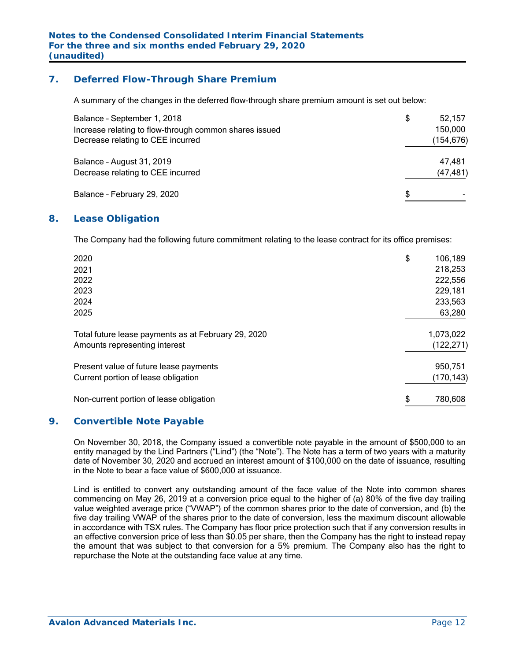# **7. Deferred Flow-Through Share Premium**

A summary of the changes in the deferred flow-through share premium amount is set out below:

| Balance - September 1, 2018<br>Increase relating to flow-through common shares issued<br>Decrease relating to CEE incurred | \$ | 52,157<br>150,000<br>(154,676) |
|----------------------------------------------------------------------------------------------------------------------------|----|--------------------------------|
| Balance - August 31, 2019<br>Decrease relating to CEE incurred                                                             |    | 47,481<br>(47, 481)            |
| Balance - February 29, 2020                                                                                                | S  |                                |

### **8. Lease Obligation**

The Company had the following future commitment relating to the lease contract for its office premises:

| 2020                                                | \$<br>106,189 |
|-----------------------------------------------------|---------------|
| 2021                                                | 218,253       |
| 2022                                                | 222,556       |
| 2023                                                | 229,181       |
| 2024                                                | 233,563       |
| 2025                                                | 63,280        |
| Total future lease payments as at February 29, 2020 | 1,073,022     |
| Amounts representing interest                       | (122, 271)    |
| Present value of future lease payments              | 950,751       |
| Current portion of lease obligation                 | (170, 143)    |
| Non-current portion of lease obligation             | \$<br>780,608 |

### **9. Convertible Note Payable**

On November 30, 2018, the Company issued a convertible note payable in the amount of \$500,000 to an entity managed by the Lind Partners ("Lind") (the "Note"). The Note has a term of two years with a maturity date of November 30, 2020 and accrued an interest amount of \$100,000 on the date of issuance, resulting in the Note to bear a face value of \$600,000 at issuance.

Lind is entitled to convert any outstanding amount of the face value of the Note into common shares commencing on May 26, 2019 at a conversion price equal to the higher of (a) 80% of the five day trailing value weighted average price ("VWAP") of the common shares prior to the date of conversion, and (b) the five day trailing VWAP of the shares prior to the date of conversion, less the maximum discount allowable in accordance with TSX rules. The Company has floor price protection such that if any conversion results in an effective conversion price of less than \$0.05 per share, then the Company has the right to instead repay the amount that was subject to that conversion for a 5% premium. The Company also has the right to repurchase the Note at the outstanding face value at any time.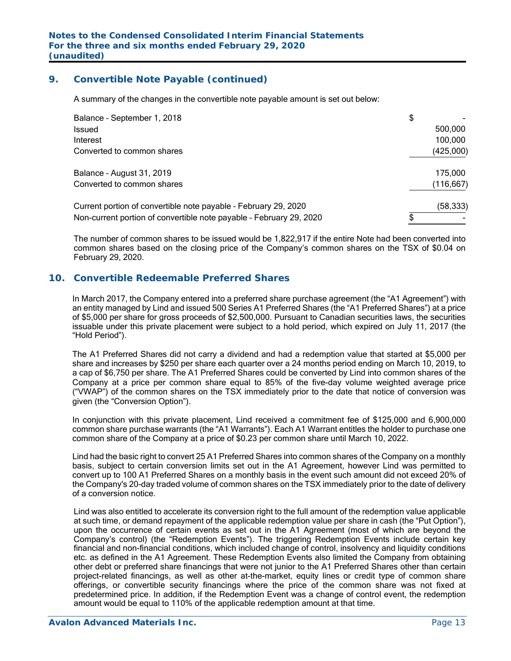## **9. Convertible Note Payable (continued)**

A summary of the changes in the convertible note payable amount is set out below:

| Balance - September 1, 2018                                         | \$         |
|---------------------------------------------------------------------|------------|
| Issued                                                              | 500,000    |
| Interest                                                            | 100,000    |
| Converted to common shares                                          | (425,000)  |
| Balance - August 31, 2019                                           | 175,000    |
| Converted to common shares                                          | (116, 667) |
| Current portion of convertible note payable - February 29, 2020     | (58, 333)  |
| Non-current portion of convertible note payable - February 29, 2020 |            |

The number of common shares to be issued would be 1,822,917 if the entire Note had been converted into common shares based on the closing price of the Company's common shares on the TSX of \$0.04 on February 29, 2020.

# **10. Convertible Redeemable Preferred Shares**

In March 2017, the Company entered into a preferred share purchase agreement (the "A1 Agreement") with an entity managed by Lind and issued 500 Series A1 Preferred Shares (the "A1 Preferred Shares") at a price of \$5,000 per share for gross proceeds of \$2,500,000. Pursuant to Canadian securities laws, the securities issuable under this private placement were subject to a hold period, which expired on July 11, 2017 (the "Hold Period").

The A1 Preferred Shares did not carry a dividend and had a redemption value that started at \$5,000 per share and increases by \$250 per share each quarter over a 24 months period ending on March 10, 2019, to a cap of \$6,750 per share. The A1 Preferred Shares could be converted by Lind into common shares of the Company at a price per common share equal to 85% of the five-day volume weighted average price ("VWAP") of the common shares on the TSX immediately prior to the date that notice of conversion was given (the "Conversion Option").

In conjunction with this private placement, Lind received a commitment fee of \$125,000 and 6,900,000 common share purchase warrants (the "A1 Warrants"). Each A1 Warrant entitles the holder to purchase one common share of the Company at a price of \$0.23 per common share until March 10, 2022.

Lind had the basic right to convert 25 A1 Preferred Shares into common shares of the Company on a monthly basis, subject to certain conversion limits set out in the A1 Agreement, however Lind was permitted to convert up to 100 A1 Preferred Shares on a monthly basis in the event such amount did not exceed 20% of the Company's 20-day traded volume of common shares on the TSX immediately prior to the date of delivery of a conversion notice.

Lind was also entitled to accelerate its conversion right to the full amount of the redemption value applicable at such time, or demand repayment of the applicable redemption value per share in cash (the "Put Option"), upon the occurrence of certain events as set out in the A1 Agreement (most of which are beyond the Company's control) (the "Redemption Events"). The triggering Redemption Events include certain key financial and non-financial conditions, which included change of control, insolvency and liquidity conditions etc. as defined in the A1 Agreement. These Redemption Events also limited the Company from obtaining other debt or preferred share financings that were not junior to the A1 Preferred Shares other than certain project-related financings, as well as other at-the-market, equity lines or credit type of common share offerings, or convertible security financings where the price of the common share was not fixed at predetermined price. In addition, if the Redemption Event was a change of control event, the redemption amount would be equal to 110% of the applicable redemption amount at that time.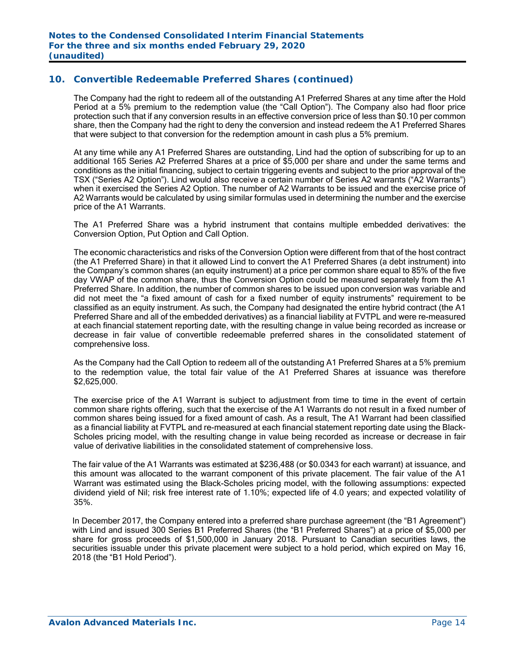The Company had the right to redeem all of the outstanding A1 Preferred Shares at any time after the Hold Period at a 5% premium to the redemption value (the "Call Option"). The Company also had floor price protection such that if any conversion results in an effective conversion price of less than \$0.10 per common share, then the Company had the right to deny the conversion and instead redeem the A1 Preferred Shares that were subject to that conversion for the redemption amount in cash plus a 5% premium.

At any time while any A1 Preferred Shares are outstanding, Lind had the option of subscribing for up to an additional 165 Series A2 Preferred Shares at a price of \$5,000 per share and under the same terms and conditions as the initial financing, subject to certain triggering events and subject to the prior approval of the TSX ("Series A2 Option"). Lind would also receive a certain number of Series A2 warrants ("A2 Warrants") when it exercised the Series A2 Option. The number of A2 Warrants to be issued and the exercise price of A2 Warrants would be calculated by using similar formulas used in determining the number and the exercise price of the A1 Warrants.

The A1 Preferred Share was a hybrid instrument that contains multiple embedded derivatives: the Conversion Option, Put Option and Call Option.

The economic characteristics and risks of the Conversion Option were different from that of the host contract (the A1 Preferred Share) in that it allowed Lind to convert the A1 Preferred Shares (a debt instrument) into the Company's common shares (an equity instrument) at a price per common share equal to 85% of the five day VWAP of the common share, thus the Conversion Option could be measured separately from the A1 Preferred Share. In addition, the number of common shares to be issued upon conversion was variable and did not meet the "a fixed amount of cash for a fixed number of equity instruments" requirement to be classified as an equity instrument. As such, the Company had designated the entire hybrid contract (the A1 Preferred Share and all of the embedded derivatives) as a financial liability at FVTPL and were re-measured at each financial statement reporting date, with the resulting change in value being recorded as increase or decrease in fair value of convertible redeemable preferred shares in the consolidated statement of comprehensive loss.

As the Company had the Call Option to redeem all of the outstanding A1 Preferred Shares at a 5% premium to the redemption value, the total fair value of the A1 Preferred Shares at issuance was therefore \$2,625,000.

The exercise price of the A1 Warrant is subject to adjustment from time to time in the event of certain common share rights offering, such that the exercise of the A1 Warrants do not result in a fixed number of common shares being issued for a fixed amount of cash. As a result, The A1 Warrant had been classified as a financial liability at FVTPL and re-measured at each financial statement reporting date using the Black-Scholes pricing model, with the resulting change in value being recorded as increase or decrease in fair value of derivative liabilities in the consolidated statement of comprehensive loss.

The fair value of the A1 Warrants was estimated at \$236,488 (or \$0.0343 for each warrant) at issuance, and this amount was allocated to the warrant component of this private placement. The fair value of the A1 Warrant was estimated using the Black-Scholes pricing model, with the following assumptions: expected dividend yield of Nil; risk free interest rate of 1.10%; expected life of 4.0 years; and expected volatility of 35%.

In December 2017, the Company entered into a preferred share purchase agreement (the "B1 Agreement") with Lind and issued 300 Series B1 Preferred Shares (the "B1 Preferred Shares") at a price of \$5,000 per share for gross proceeds of \$1,500,000 in January 2018. Pursuant to Canadian securities laws, the securities issuable under this private placement were subject to a hold period, which expired on May 16, 2018 (the "B1 Hold Period").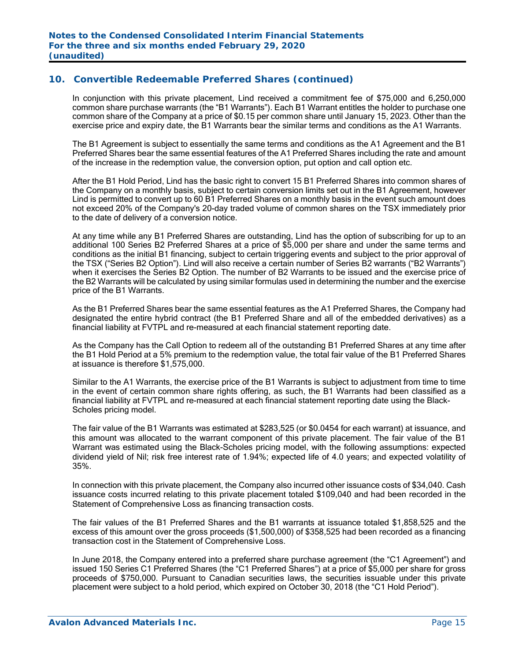In conjunction with this private placement, Lind received a commitment fee of \$75,000 and 6,250,000 common share purchase warrants (the "B1 Warrants"). Each B1 Warrant entitles the holder to purchase one common share of the Company at a price of \$0.15 per common share until January 15, 2023. Other than the exercise price and expiry date, the B1 Warrants bear the similar terms and conditions as the A1 Warrants.

The B1 Agreement is subject to essentially the same terms and conditions as the A1 Agreement and the B1 Preferred Shares bear the same essential features of the A1 Preferred Shares including the rate and amount of the increase in the redemption value, the conversion option, put option and call option etc.

After the B1 Hold Period, Lind has the basic right to convert 15 B1 Preferred Shares into common shares of the Company on a monthly basis, subject to certain conversion limits set out in the B1 Agreement, however Lind is permitted to convert up to 60 B1 Preferred Shares on a monthly basis in the event such amount does not exceed 20% of the Company's 20-day traded volume of common shares on the TSX immediately prior to the date of delivery of a conversion notice.

At any time while any B1 Preferred Shares are outstanding, Lind has the option of subscribing for up to an additional 100 Series B2 Preferred Shares at a price of \$5,000 per share and under the same terms and conditions as the initial B1 financing, subject to certain triggering events and subject to the prior approval of the TSX ("Series B2 Option"). Lind will also receive a certain number of Series B2 warrants ("B2 Warrants") when it exercises the Series B2 Option. The number of B2 Warrants to be issued and the exercise price of the B2 Warrants will be calculated by using similar formulas used in determining the number and the exercise price of the B1 Warrants.

As the B1 Preferred Shares bear the same essential features as the A1 Preferred Shares, the Company had designated the entire hybrid contract (the B1 Preferred Share and all of the embedded derivatives) as a financial liability at FVTPL and re-measured at each financial statement reporting date.

As the Company has the Call Option to redeem all of the outstanding B1 Preferred Shares at any time after the B1 Hold Period at a 5% premium to the redemption value, the total fair value of the B1 Preferred Shares at issuance is therefore \$1,575,000.

Similar to the A1 Warrants, the exercise price of the B1 Warrants is subject to adjustment from time to time in the event of certain common share rights offering, as such, the B1 Warrants had been classified as a financial liability at FVTPL and re-measured at each financial statement reporting date using the Black-Scholes pricing model.

The fair value of the B1 Warrants was estimated at \$283,525 (or \$0.0454 for each warrant) at issuance, and this amount was allocated to the warrant component of this private placement. The fair value of the B1 Warrant was estimated using the Black-Scholes pricing model, with the following assumptions: expected dividend yield of Nil; risk free interest rate of 1.94%; expected life of 4.0 years; and expected volatility of 35%.

In connection with this private placement, the Company also incurred other issuance costs of \$34,040. Cash issuance costs incurred relating to this private placement totaled \$109,040 and had been recorded in the Statement of Comprehensive Loss as financing transaction costs.

The fair values of the B1 Preferred Shares and the B1 warrants at issuance totaled \$1,858,525 and the excess of this amount over the gross proceeds (\$1,500,000) of \$358,525 had been recorded as a financing transaction cost in the Statement of Comprehensive Loss.

In June 2018, the Company entered into a preferred share purchase agreement (the "C1 Agreement") and issued 150 Series C1 Preferred Shares (the "C1 Preferred Shares") at a price of \$5,000 per share for gross proceeds of \$750,000. Pursuant to Canadian securities laws, the securities issuable under this private placement were subject to a hold period, which expired on October 30, 2018 (the "C1 Hold Period").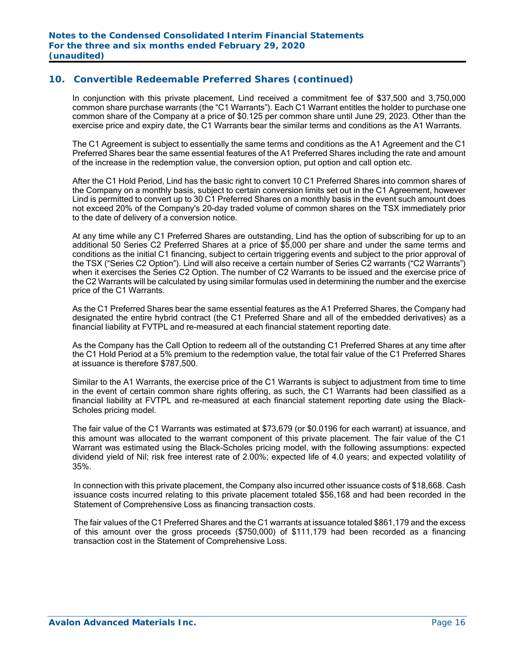In conjunction with this private placement, Lind received a commitment fee of \$37,500 and 3,750,000 common share purchase warrants (the "C1 Warrants"). Each C1 Warrant entitles the holder to purchase one common share of the Company at a price of \$0.125 per common share until June 29, 2023. Other than the exercise price and expiry date, the C1 Warrants bear the similar terms and conditions as the A1 Warrants.

The C1 Agreement is subject to essentially the same terms and conditions as the A1 Agreement and the C1 Preferred Shares bear the same essential features of the A1 Preferred Shares including the rate and amount of the increase in the redemption value, the conversion option, put option and call option etc.

After the C1 Hold Period, Lind has the basic right to convert 10 C1 Preferred Shares into common shares of the Company on a monthly basis, subject to certain conversion limits set out in the C1 Agreement, however Lind is permitted to convert up to 30 C1 Preferred Shares on a monthly basis in the event such amount does not exceed 20% of the Company's 20-day traded volume of common shares on the TSX immediately prior to the date of delivery of a conversion notice.

At any time while any C1 Preferred Shares are outstanding, Lind has the option of subscribing for up to an additional 50 Series C2 Preferred Shares at a price of \$5,000 per share and under the same terms and conditions as the initial C1 financing, subject to certain triggering events and subject to the prior approval of the TSX ("Series C2 Option"). Lind will also receive a certain number of Series C2 warrants ("C2 Warrants") when it exercises the Series C2 Option. The number of C2 Warrants to be issued and the exercise price of the C2 Warrants will be calculated by using similar formulas used in determining the number and the exercise price of the C1 Warrants.

As the C1 Preferred Shares bear the same essential features as the A1 Preferred Shares, the Company had designated the entire hybrid contract (the C1 Preferred Share and all of the embedded derivatives) as a financial liability at FVTPL and re-measured at each financial statement reporting date.

As the Company has the Call Option to redeem all of the outstanding C1 Preferred Shares at any time after the C1 Hold Period at a 5% premium to the redemption value, the total fair value of the C1 Preferred Shares at issuance is therefore \$787,500.

Similar to the A1 Warrants, the exercise price of the C1 Warrants is subject to adjustment from time to time in the event of certain common share rights offering, as such, the C1 Warrants had been classified as a financial liability at FVTPL and re-measured at each financial statement reporting date using the Black-Scholes pricing model.

The fair value of the C1 Warrants was estimated at \$73,679 (or \$0.0196 for each warrant) at issuance, and this amount was allocated to the warrant component of this private placement. The fair value of the C1 Warrant was estimated using the Black-Scholes pricing model, with the following assumptions: expected dividend yield of Nil; risk free interest rate of 2.00%; expected life of 4.0 years; and expected volatility of 35%.

In connection with this private placement, the Company also incurred other issuance costs of \$18,668. Cash issuance costs incurred relating to this private placement totaled \$56,168 and had been recorded in the Statement of Comprehensive Loss as financing transaction costs.

The fair values of the C1 Preferred Shares and the C1 warrants at issuance totaled \$861,179 and the excess of this amount over the gross proceeds (\$750,000) of \$111,179 had been recorded as a financing transaction cost in the Statement of Comprehensive Loss.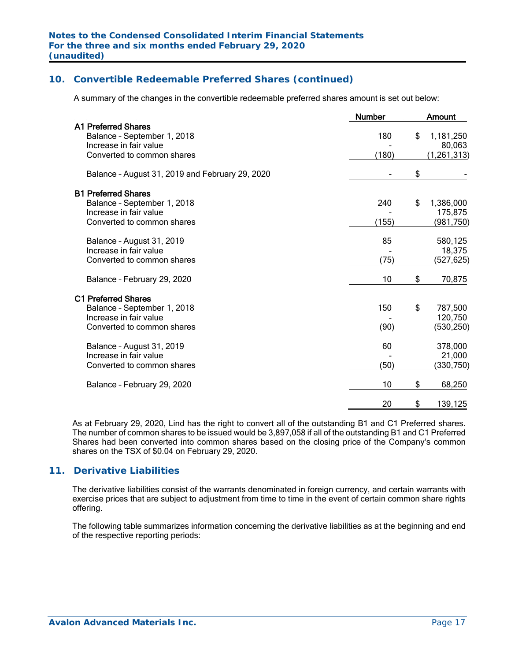A summary of the changes in the convertible redeemable preferred shares amount is set out below:

|                                                 | <b>Number</b> | Amount          |
|-------------------------------------------------|---------------|-----------------|
| <b>A1 Preferred Shares</b>                      |               |                 |
| Balance - September 1, 2018                     | 180           | \$<br>1,181,250 |
| Increase in fair value                          |               | 80,063          |
| Converted to common shares                      | (180)         | (1, 261, 313)   |
| Balance - August 31, 2019 and February 29, 2020 |               | \$              |
| <b>B1 Preferred Shares</b>                      |               |                 |
| Balance - September 1, 2018                     | 240           | \$<br>1,386,000 |
| Increase in fair value                          |               | 175,875         |
| Converted to common shares                      | (155)         | (981,750)       |
| Balance - August 31, 2019                       | 85            | 580,125         |
| Increase in fair value                          |               | 18,375          |
| Converted to common shares                      | (75)          | (527,625)       |
| Balance - February 29, 2020                     | 10            | \$<br>70,875    |
| <b>C1 Preferred Shares</b>                      |               |                 |
| Balance - September 1, 2018                     | 150           | \$<br>787,500   |
| Increase in fair value                          |               | 120,750         |
| Converted to common shares                      | (90)          | (530,250)       |
| Balance - August 31, 2019                       | 60            | 378,000         |
| Increase in fair value                          |               | 21,000          |
| Converted to common shares                      | (50)          | (330,750)       |
| Balance - February 29, 2020                     | 10            | \$<br>68,250    |
|                                                 | 20            | \$<br>139,125   |
|                                                 |               |                 |

As at February 29, 2020, Lind has the right to convert all of the outstanding B1 and C1 Preferred shares. The number of common shares to be issued would be 3,897,058 if all of the outstanding B1 and C1 Preferred Shares had been converted into common shares based on the closing price of the Company's common shares on the TSX of \$0.04 on February 29, 2020.

## **11. Derivative Liabilities**

The derivative liabilities consist of the warrants denominated in foreign currency, and certain warrants with exercise prices that are subject to adjustment from time to time in the event of certain common share rights offering.

The following table summarizes information concerning the derivative liabilities as at the beginning and end of the respective reporting periods: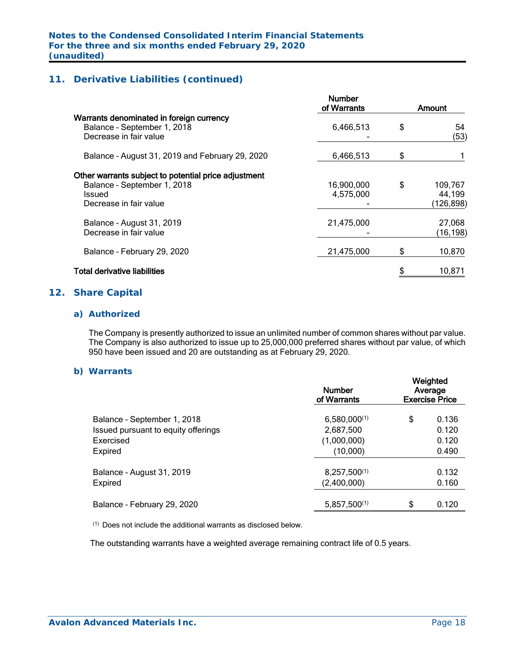# **11. Derivative Liabilities (continued)**

|                                                                                                                                | <b>Number</b><br>of Warrants | Amount                               |
|--------------------------------------------------------------------------------------------------------------------------------|------------------------------|--------------------------------------|
| Warrants denominated in foreign currency<br>Balance - September 1, 2018<br>Decrease in fair value                              | 6,466,513                    | \$<br>54<br>(53)                     |
| Balance - August 31, 2019 and February 29, 2020                                                                                | 6,466,513                    | \$                                   |
| Other warrants subject to potential price adjustment<br>Balance - September 1, 2018<br><b>Issued</b><br>Decrease in fair value | 16,900,000<br>4,575,000      | \$<br>109,767<br>44,199<br>(126,898) |
| Balance - August 31, 2019<br>Decrease in fair value                                                                            | 21,475,000                   | 27,068<br>(16, 198)                  |
| Balance - February 29, 2020                                                                                                    | 21,475,000                   | 10,870                               |
| Total derivative liabilities                                                                                                   |                              | 10,871                               |
|                                                                                                                                |                              |                                      |

### **12. Share Capital**

#### *a) Authorized*

The Company is presently authorized to issue an unlimited number of common shares without par value. The Company is also authorized to issue up to 25,000,000 preferred shares without par value, of which 950 have been issued and 20 are outstanding as at February 29, 2020.

#### *b) Warrants*

|  |                                     | <b>Number</b><br>of Warrants | Weighted<br>Average<br><b>Exercise Price</b> |       |  |  |
|--|-------------------------------------|------------------------------|----------------------------------------------|-------|--|--|
|  | Balance - September 1, 2018         | $6,580,000^{(1)}$            | \$                                           | 0.136 |  |  |
|  | Issued pursuant to equity offerings | 2,687,500                    |                                              | 0.120 |  |  |
|  | Exercised                           | (1,000,000)                  |                                              | 0.120 |  |  |
|  | Expired                             | (10,000)                     |                                              | 0.490 |  |  |
|  | Balance - August 31, 2019           | $8,257,500^{(1)}$            |                                              | 0.132 |  |  |
|  | Expired                             | (2,400,000)                  |                                              | 0.160 |  |  |
|  | Balance - February 29, 2020         | $5,857,500^{(1)}$            | \$                                           | 0.120 |  |  |
|  |                                     |                              |                                              |       |  |  |

(1) Does not include the additional warrants as disclosed below.

The outstanding warrants have a weighted average remaining contract life of 0.5 years.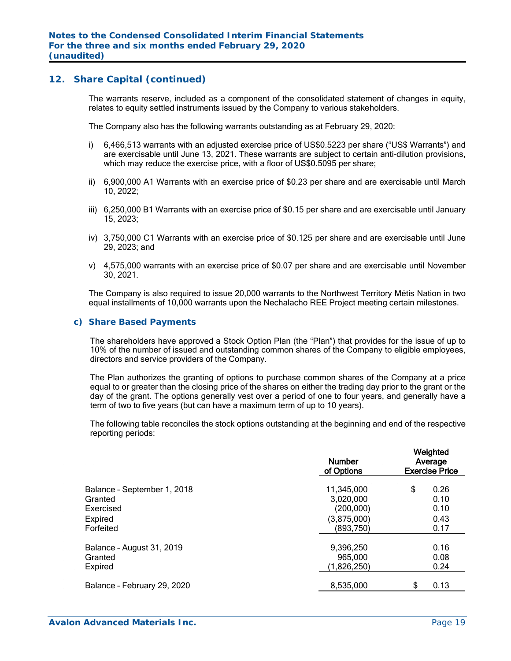#### **12. Share Capital (continued)**

The warrants reserve, included as a component of the consolidated statement of changes in equity, relates to equity settled instruments issued by the Company to various stakeholders.

The Company also has the following warrants outstanding as at February 29, 2020:

- i) 6,466,513 warrants with an adjusted exercise price of US\$0.5223 per share ("US\$ Warrants") and are exercisable until June 13, 2021. These warrants are subject to certain anti-dilution provisions, which may reduce the exercise price, with a floor of US\$0.5095 per share;
- ii) 6,900,000 A1 Warrants with an exercise price of \$0.23 per share and are exercisable until March 10, 2022;
- iii) 6,250,000 B1 Warrants with an exercise price of \$0.15 per share and are exercisable until January 15, 2023;
- iv) 3,750,000 C1 Warrants with an exercise price of \$0.125 per share and are exercisable until June 29, 2023; and
- v) 4,575,000 warrants with an exercise price of \$0.07 per share and are exercisable until November 30, 2021.

The Company is also required to issue 20,000 warrants to the Northwest Territory Métis Nation in two equal installments of 10,000 warrants upon the Nechalacho REE Project meeting certain milestones.

#### *c) Share Based Payments*

The shareholders have approved a Stock Option Plan (the "Plan") that provides for the issue of up to 10% of the number of issued and outstanding common shares of the Company to eligible employees, directors and service providers of the Company.

The Plan authorizes the granting of options to purchase common shares of the Company at a price equal to or greater than the closing price of the shares on either the trading day prior to the grant or the day of the grant. The options generally vest over a period of one to four years, and generally have a term of two to five years (but can have a maximum term of up to 10 years).

The following table reconciles the stock options outstanding at the beginning and end of the respective reporting periods:

| \$<br>0.26<br>11,345,000<br>Balance - September 1, 2018<br>0.10<br>3,020,000<br>Granted<br>0.10<br>(200,000)<br>Exercised<br>(3,875,000)<br>0.43<br>Expired<br>(893,750)<br>Forfeited<br>0.17<br>0.16<br>9,396,250<br>Balance - August 31, 2019<br>965,000<br>0.08<br>Granted<br>(1,826,250)<br>0.24<br>Expired<br>0.13<br>8,535,000<br>Balance - February 29, 2020 | <b>Number</b><br>of Options | Weighted<br>Average<br><b>Exercise Price</b> |  |  |  |  |
|---------------------------------------------------------------------------------------------------------------------------------------------------------------------------------------------------------------------------------------------------------------------------------------------------------------------------------------------------------------------|-----------------------------|----------------------------------------------|--|--|--|--|
|                                                                                                                                                                                                                                                                                                                                                                     |                             |                                              |  |  |  |  |
|                                                                                                                                                                                                                                                                                                                                                                     |                             |                                              |  |  |  |  |
|                                                                                                                                                                                                                                                                                                                                                                     |                             |                                              |  |  |  |  |
|                                                                                                                                                                                                                                                                                                                                                                     |                             |                                              |  |  |  |  |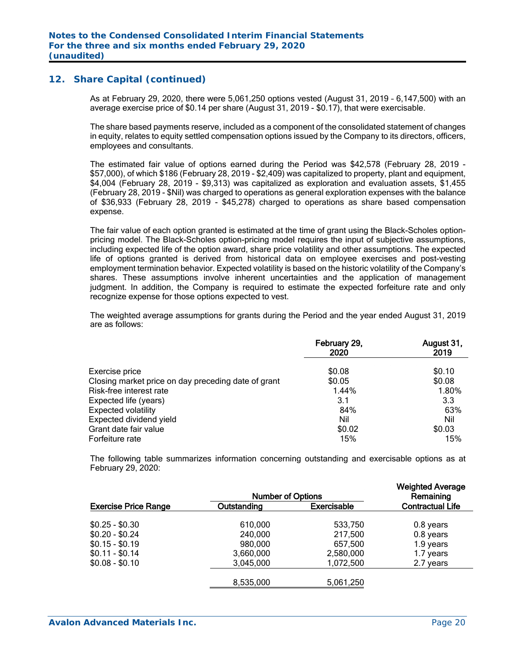### **12. Share Capital (continued)**

As at February 29, 2020, there were 5,061,250 options vested (August 31, 2019 – 6,147,500) with an average exercise price of \$0.14 per share (August 31, 2019 - \$0.17), that were exercisable.

The share based payments reserve, included as a component of the consolidated statement of changes in equity, relates to equity settled compensation options issued by the Company to its directors, officers, employees and consultants.

The estimated fair value of options earned during the Period was \$42,578 (February 28, 2019 - \$57,000), of which \$186 (February 28, 2019 - \$2,409) was capitalized to property, plant and equipment, \$4,004 (February 28, 2019 - \$9,313) was capitalized as exploration and evaluation assets, \$1,455 (February 28, 2019 - \$Nil) was charged to operations as general exploration expenses with the balance of \$36,933 (February 28, 2019 - \$45,278) charged to operations as share based compensation expense.

The fair value of each option granted is estimated at the time of grant using the Black-Scholes optionpricing model. The Black-Scholes option-pricing model requires the input of subjective assumptions, including expected life of the option award, share price volatility and other assumptions. The expected life of options granted is derived from historical data on employee exercises and post-vesting employment termination behavior. Expected volatility is based on the historic volatility of the Company's shares. These assumptions involve inherent uncertainties and the application of management judgment. In addition, the Company is required to estimate the expected forfeiture rate and only recognize expense for those options expected to vest.

The weighted average assumptions for grants during the Period and the year ended August 31, 2019 are as follows:

|                                                     | February 29,<br>2020 | August 31,<br>2019 |
|-----------------------------------------------------|----------------------|--------------------|
| Exercise price                                      | \$0.08               | \$0.10             |
| Closing market price on day preceding date of grant | \$0.05               | \$0.08             |
| Risk-free interest rate                             | 1.44%                | 1.80%              |
| Expected life (years)                               | 3.1                  | 3.3                |
| <b>Expected volatility</b>                          | 84%                  | 63%                |
| Expected dividend yield                             | Nil                  | Nil                |
| Grant date fair value                               | \$0.02               | \$0.03             |
| Forfeiture rate                                     | 15%                  | 15%                |

The following table summarizes information concerning outstanding and exercisable options as at February 29, 2020:

|                             | <b>Weighted Average</b><br>Remaining |                    |                         |
|-----------------------------|--------------------------------------|--------------------|-------------------------|
| <b>Exercise Price Range</b> | Outstanding                          | <b>Exercisable</b> | <b>Contractual Life</b> |
| $$0.25 - $0.30$             | 610,000                              | 533,750            | 0.8 years               |
| $$0.20 - $0.24$             | 240,000                              | 217,500            | 0.8 years               |
| $$0.15 - $0.19$             | 980,000                              | 657.500            | 1.9 years               |
| $$0.11 - $0.14$             | 3,660,000                            | 2,580,000          | 1.7 years               |
| $$0.08 - $0.10$             | 3,045,000                            | 1,072,500          | 2.7 years               |
|                             | 8,535,000                            | 5,061,250          |                         |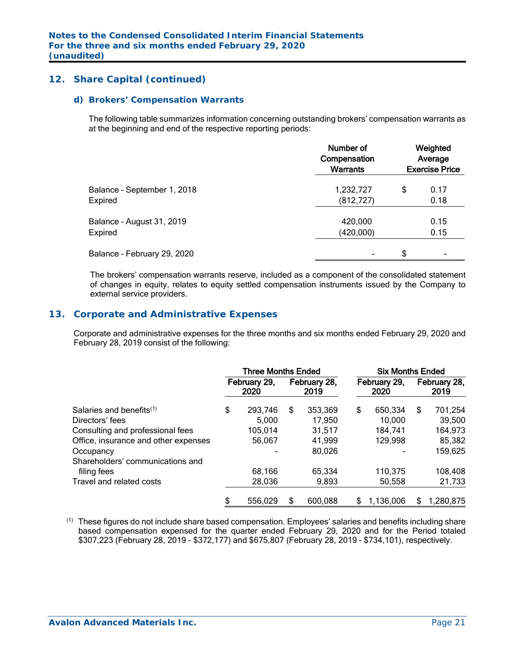## **12. Share Capital (continued)**

#### *d) Brokers' Compensation Warrants*

The following table summarizes information concerning outstanding brokers' compensation warrants as at the beginning and end of the respective reporting periods:

|                             | Number of<br>Compensation<br><b>Warrants</b> | Weighted<br>Average<br><b>Exercise Price</b> |                |  |  |
|-----------------------------|----------------------------------------------|----------------------------------------------|----------------|--|--|
| Balance - September 1, 2018 | 1,232,727                                    | \$                                           | 0.17           |  |  |
| Expired                     | (812, 727)                                   |                                              | 0.18           |  |  |
| Balance - August 31, 2019   | 420,000                                      |                                              | 0.15           |  |  |
| Expired                     | (420,000)                                    |                                              | 0.15           |  |  |
| Balance - February 29, 2020 | $\blacksquare$                               | \$                                           | $\blacksquare$ |  |  |

The brokers' compensation warrants reserve, included as a component of the consolidated statement of changes in equity, relates to equity settled compensation instruments issued by the Company to external service providers.

## **13. Corporate and Administrative Expenses**

Corporate and administrative expenses for the three months and six months ended February 29, 2020 and February 28, 2019 consist of the following:

|                                      | <b>Three Months Ended</b> |                      |    |                      | <b>Six Months Ended</b> |                      |    |                      |
|--------------------------------------|---------------------------|----------------------|----|----------------------|-------------------------|----------------------|----|----------------------|
|                                      |                           | February 29,<br>2020 |    | February 28,<br>2019 |                         | February 29,<br>2020 |    | February 28,<br>2019 |
| Salaries and benefits $(1)$          | \$                        | 293,746              | \$ | 353,369              | \$                      | 650,334              | \$ | 701,254              |
| Directors' fees                      |                           | 5,000                |    | 17,950               |                         | 10,000               |    | 39,500               |
| Consulting and professional fees     |                           | 105,014              |    | 31,517               |                         | 184,741              |    | 164,973              |
| Office, insurance and other expenses |                           | 56,067               |    | 41,999               |                         | 129,998              |    | 85,382               |
| Occupancy                            |                           |                      |    | 80,026               |                         |                      |    | 159,625              |
| Shareholders' communications and     |                           |                      |    |                      |                         |                      |    |                      |
| filing fees                          |                           | 68,166               |    | 65,334               |                         | 110,375              |    | 108,408              |
| Travel and related costs             |                           | 28,036               |    | 9,893                |                         | 50,558               |    | 21,733               |
|                                      | S                         | 556,029              |    | 600,088              | \$                      | 1,136,006            | S  | 1,280,875            |

 $<sup>(1)</sup>$  These figures do not include share based compensation. Employees' salaries and benefits including share</sup> based compensation expensed for the quarter ended February 29, 2020 and for the Period totaled \$307,223 (February 28, 2019 - \$372,177) and \$675,807 (February 28, 2019 – \$734,101), respectively.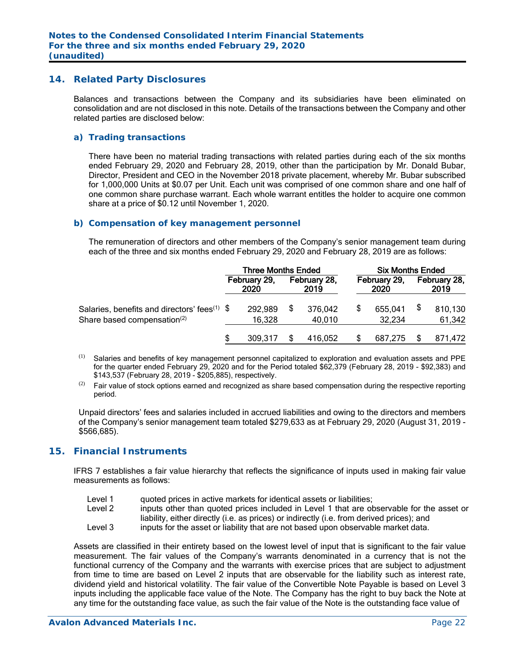#### **14. Related Party Disclosures**

Balances and transactions between the Company and its subsidiaries have been eliminated on consolidation and are not disclosed in this note. Details of the transactions between the Company and other related parties are disclosed below:

#### *a) Trading transactions*

There have been no material trading transactions with related parties during each of the six months ended February 29, 2020 and February 28, 2019, other than the participation by Mr. Donald Bubar, Director, President and CEO in the November 2018 private placement, whereby Mr. Bubar subscribed for 1,000,000 Units at \$0.07 per Unit. Each unit was comprised of one common share and one half of one common share purchase warrant. Each whole warrant entitles the holder to acquire one common share at a price of \$0.12 until November 1, 2020.

#### *b) Compensation of key management personnel*

The remuneration of directors and other members of the Company's senior management team during each of the three and six months ended February 29, 2020 and February 28, 2019 are as follows:

|                                                           | <b>Three Months Ended</b> |                      |  |                      | <b>Six Months Ended</b> |                      |  |                      |
|-----------------------------------------------------------|---------------------------|----------------------|--|----------------------|-------------------------|----------------------|--|----------------------|
|                                                           |                           | February 29,<br>2020 |  | February 28,<br>2019 |                         | February 29,<br>2020 |  | February 28,<br>2019 |
| Salaries, benefits and directors' fees <sup>(1)</sup> $\$ |                           | 292,989              |  | 376,042              | S                       | 655,041              |  | 810,130              |
| Share based compensation <sup>(2)</sup>                   |                           | 16,328               |  | 40,010               |                         | 32,234               |  | 61,342               |
|                                                           |                           | 309.317              |  | 416.052              |                         | 687.275              |  | 871,472              |

- (1) Salaries and benefits of key management personnel capitalized to exploration and evaluation assets and PPE for the quarter ended February 29, 2020 and for the Period totaled \$62,379 (February 28, 2019 - \$92,383) and \$143,537 (February 28, 2019 - \$205,885), respectively.
- $(2)$  Fair value of stock options earned and recognized as share based compensation during the respective reporting period.

Unpaid directors' fees and salaries included in accrued liabilities and owing to the directors and members of the Company's senior management team totaled \$279,633 as at February 29, 2020 (August 31, 2019 - \$566,685).

# **15. Financial Instruments**

IFRS 7 establishes a fair value hierarchy that reflects the significance of inputs used in making fair value measurements as follows:

- Level 1 guoted prices in active markets for identical assets or liabilities;
- Level 2 inputs other than quoted prices included in Level 1 that are observable for the asset or liability, either directly (i.e. as prices) or indirectly (i.e. from derived prices); and
- Level 3 inputs for the asset or liability that are not based upon observable market data.

Assets are classified in their entirety based on the lowest level of input that is significant to the fair value measurement. The fair values of the Company's warrants denominated in a currency that is not the functional currency of the Company and the warrants with exercise prices that are subject to adjustment from time to time are based on Level 2 inputs that are observable for the liability such as interest rate, dividend yield and historical volatility. The fair value of the Convertible Note Payable is based on Level 3 inputs including the applicable face value of the Note. The Company has the right to buy back the Note at any time for the outstanding face value, as such the fair value of the Note is the outstanding face value of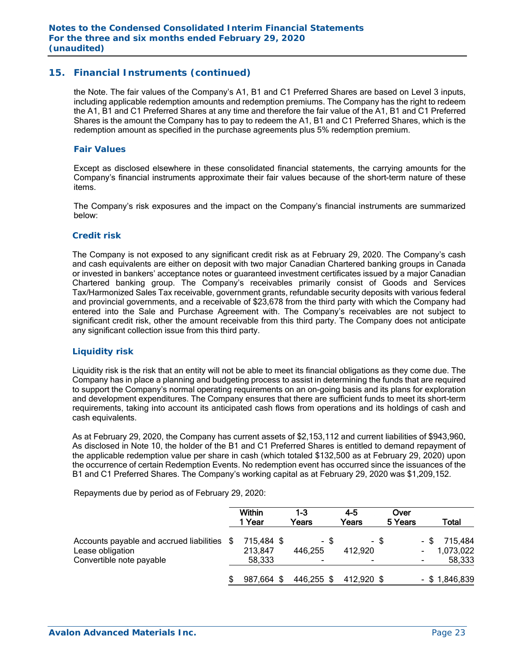# **15. Financial Instruments (continued)**

the Note. The fair values of the Company's A1, B1 and C1 Preferred Shares are based on Level 3 inputs, including applicable redemption amounts and redemption premiums. The Company has the right to redeem the A1, B1 and C1 Preferred Shares at any time and therefore the fair value of the A1, B1 and C1 Preferred Shares is the amount the Company has to pay to redeem the A1, B1 and C1 Preferred Shares, which is the redemption amount as specified in the purchase agreements plus 5% redemption premium.

### *Fair Values*

Except as disclosed elsewhere in these consolidated financial statements, the carrying amounts for the Company's financial instruments approximate their fair values because of the short-term nature of these items.

The Company's risk exposures and the impact on the Company's financial instruments are summarized below:

#### *Credit risk*

The Company is not exposed to any significant credit risk as at February 29, 2020. The Company's cash and cash equivalents are either on deposit with two major Canadian Chartered banking groups in Canada or invested in bankers' acceptance notes or guaranteed investment certificates issued by a major Canadian Chartered banking group. The Company's receivables primarily consist of Goods and Services Tax/Harmonized Sales Tax receivable, government grants, refundable security deposits with various federal and provincial governments, and a receivable of \$23,678 from the third party with which the Company had entered into the Sale and Purchase Agreement with. The Company's receivables are not subject to significant credit risk, other the amount receivable from this third party. The Company does not anticipate any significant collection issue from this third party.

#### *Liquidity risk*

Liquidity risk is the risk that an entity will not be able to meet its financial obligations as they come due. The Company has in place a planning and budgeting process to assist in determining the funds that are required to support the Company's normal operating requirements on an on-going basis and its plans for exploration and development expenditures. The Company ensures that there are sufficient funds to meet its short-term requirements, taking into account its anticipated cash flows from operations and its holdings of cash and cash equivalents.

As at February 29, 2020, the Company has current assets of \$2,153,112 and current liabilities of \$943,960. As disclosed in Note 10, the holder of the B1 and C1 Preferred Shares is entitled to demand repayment of the applicable redemption value per share in cash (which totaled \$132,500 as at February 29, 2020) upon the occurrence of certain Redemption Events. No redemption event has occurred since the issuances of the B1 and C1 Preferred Shares. The Company's working capital as at February 29, 2020 was \$1,209,152.

Repayments due by period as of February 29, 2020:

|                                                                                             | Within<br>1 Year                | 1-3<br>Years         | $4 - 5$<br>Years     | Over<br>5 Years |      | Total                          |
|---------------------------------------------------------------------------------------------|---------------------------------|----------------------|----------------------|-----------------|------|--------------------------------|
| Accounts payable and accrued liabilities \$<br>Lease obligation<br>Convertible note payable | 715,484 \$<br>213,847<br>58,333 | - \$<br>446,255<br>۰ | - \$<br>412,920<br>- |                 | - \$ | 715,484<br>1,073,022<br>58,333 |
|                                                                                             | 987,664 \$                      | 446,255 \$           | 412,920 \$           |                 |      | $-$ \$ 1,846,839               |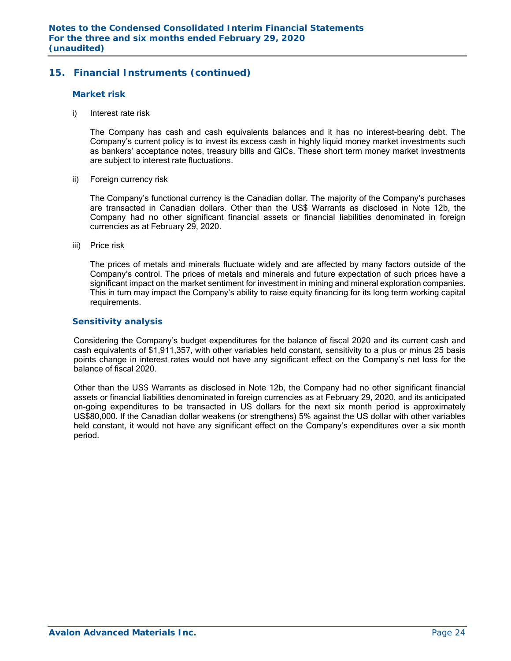# **15. Financial Instruments (continued)**

#### *Market risk*

i) Interest rate risk

The Company has cash and cash equivalents balances and it has no interest-bearing debt. The Company's current policy is to invest its excess cash in highly liquid money market investments such as bankers' acceptance notes, treasury bills and GICs. These short term money market investments are subject to interest rate fluctuations.

ii) Foreign currency risk

The Company's functional currency is the Canadian dollar. The majority of the Company's purchases are transacted in Canadian dollars. Other than the US\$ Warrants as disclosed in Note 12b, the Company had no other significant financial assets or financial liabilities denominated in foreign currencies as at February 29, 2020.

iii) Price risk

The prices of metals and minerals fluctuate widely and are affected by many factors outside of the Company's control. The prices of metals and minerals and future expectation of such prices have a significant impact on the market sentiment for investment in mining and mineral exploration companies. This in turn may impact the Company's ability to raise equity financing for its long term working capital requirements.

#### *Sensitivity analysis*

Considering the Company's budget expenditures for the balance of fiscal 2020 and its current cash and cash equivalents of \$1,911,357, with other variables held constant, sensitivity to a plus or minus 25 basis points change in interest rates would not have any significant effect on the Company's net loss for the balance of fiscal 2020.

Other than the US\$ Warrants as disclosed in Note 12b, the Company had no other significant financial assets or financial liabilities denominated in foreign currencies as at February 29, 2020, and its anticipated on-going expenditures to be transacted in US dollars for the next six month period is approximately US\$80,000. If the Canadian dollar weakens (or strengthens) 5% against the US dollar with other variables held constant, it would not have any significant effect on the Company's expenditures over a six month period.